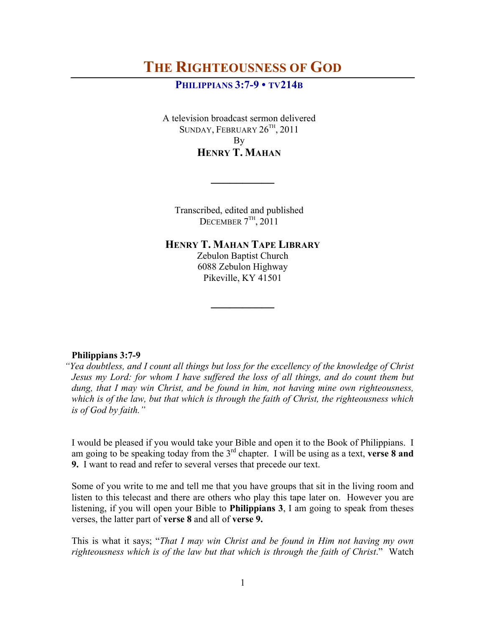# **THE RIGHTEOUSNESS OF GOD**

# **PHILIPPIANS 3:7-9 • TV214B**

A television broadcast sermon delivered SUNDAY, FEBRUARY  $26^{TH}$ , 2011 By **HENRY T. MAHAN**

Transcribed, edited and published DECEMBER  $7<sup>TH</sup>$ , 2011

**\_\_\_\_\_\_\_\_\_\_**

**HENRY T. MAHAN TAPE LIBRARY**

Zebulon Baptist Church 6088 Zebulon Highway Pikeville, KY 41501

**\_\_\_\_\_\_\_\_\_\_**

#### **Philippians 3:7-9**

*"Yea doubtless, and I count all things but loss for the excellency of the knowledge of Christ Jesus my Lord: for whom I have suffered the loss of all things, and do count them but dung, that I may win Christ, and be found in him, not having mine own righteousness, which is of the law, but that which is through the faith of Christ, the righteousness which is of God by faith."*

I would be pleased if you would take your Bible and open it to the Book of Philippians. I am going to be speaking today from the 3rd chapter. I will be using as a text, **verse 8 and 9.** I want to read and refer to several verses that precede our text.

Some of you write to me and tell me that you have groups that sit in the living room and listen to this telecast and there are others who play this tape later on. However you are listening, if you will open your Bible to **Philippians 3**, I am going to speak from theses verses, the latter part of **verse 8** and all of **verse 9.**

This is what it says; "*That I may win Christ and be found in Him not having my own righteousness which is of the law but that which is through the faith of Christ*." Watch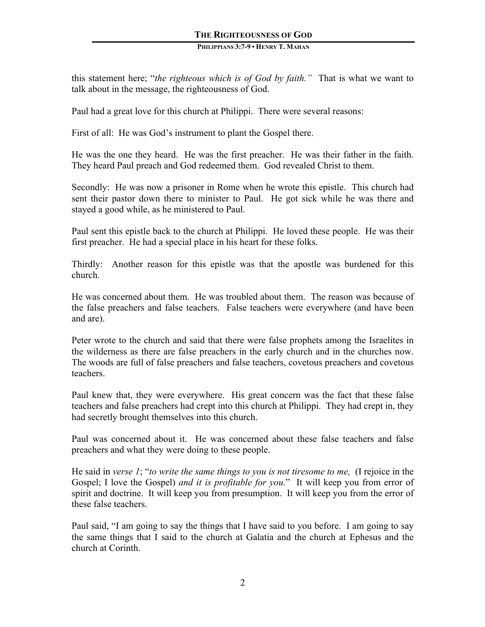# **THE RIGHTEOUSNESS OF GOD**

#### **PHILIPPIANS 3:7-9 • HENRY T. MAHAN**

this statement here; "*the righteous which is of God by faith."* That is what we want to talk about in the message, the righteousness of God.

Paul had a great love for this church at Philippi. There were several reasons:

First of all: He was God's instrument to plant the Gospel there.

He was the one they heard. He was the first preacher. He was their father in the faith. They heard Paul preach and God redeemed them. God revealed Christ to them.

Secondly: He was now a prisoner in Rome when he wrote this epistle. This church had sent their pastor down there to minister to Paul. He got sick while he was there and stayed a good while, as he ministered to Paul.

Paul sent this epistle back to the church at Philippi. He loved these people. He was their first preacher. He had a special place in his heart for these folks.

Thirdly: Another reason for this epistle was that the apostle was burdened for this church.

He was concerned about them. He was troubled about them. The reason was because of the false preachers and false teachers. False teachers were everywhere (and have been and are).

Peter wrote to the church and said that there were false prophets among the Israelites in the wilderness as there are false preachers in the early church and in the churches now. The woods are full of false preachers and false teachers, covetous preachers and covetous teachers.

Paul knew that, they were everywhere. His great concern was the fact that these false teachers and false preachers had crept into this church at Philippi. They had crept in, they had secretly brought themselves into this church.

Paul was concerned about it. He was concerned about these false teachers and false preachers and what they were doing to these people.

He said in *verse 1*; "*to write the same things to you is not tiresome to me,* (I rejoice in the Gospel; I love the Gospel) *and it is profitable for you*." It will keep you from error of spirit and doctrine. It will keep you from presumption. It will keep you from the error of these false teachers.

Paul said, "I am going to say the things that I have said to you before. I am going to say the same things that I said to the church at Galatia and the church at Ephesus and the church at Corinth.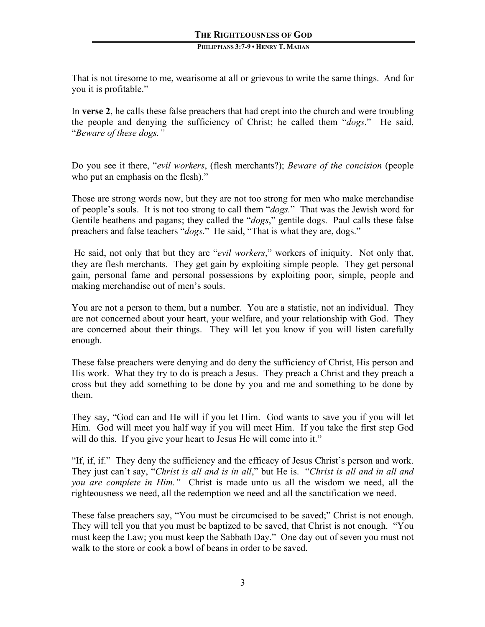That is not tiresome to me, wearisome at all or grievous to write the same things. And for you it is profitable."

In **verse 2**, he calls these false preachers that had crept into the church and were troubling the people and denying the sufficiency of Christ; he called them "*dogs*." He said, "*Beware of these dogs."* 

Do you see it there, "*evil workers*, (flesh merchants?); *Beware of the concision* (people who put an emphasis on the flesh)."

Those are strong words now, but they are not too strong for men who make merchandise of people's souls. It is not too strong to call them "*dogs.*" That was the Jewish word for Gentile heathens and pagans; they called the "*dogs*," gentile dogs. Paul calls these false preachers and false teachers "*dogs*." He said, "That is what they are, dogs."

He said, not only that but they are "*evil workers*," workers of iniquity. Not only that, they are flesh merchants. They get gain by exploiting simple people. They get personal gain, personal fame and personal possessions by exploiting poor, simple, people and making merchandise out of men's souls.

You are not a person to them, but a number. You are a statistic, not an individual. They are not concerned about your heart, your welfare, and your relationship with God. They are concerned about their things. They will let you know if you will listen carefully enough.

These false preachers were denying and do deny the sufficiency of Christ, His person and His work. What they try to do is preach a Jesus. They preach a Christ and they preach a cross but they add something to be done by you and me and something to be done by them.

They say, "God can and He will if you let Him. God wants to save you if you will let Him. God will meet you half way if you will meet Him. If you take the first step God will do this. If you give your heart to Jesus He will come into it."

"If, if, if." They deny the sufficiency and the efficacy of Jesus Christ's person and work. They just can't say, "*Christ is all and is in all*," but He is. "*Christ is all and in all and you are complete in Him."* Christ is made unto us all the wisdom we need, all the righteousness we need, all the redemption we need and all the sanctification we need.

These false preachers say, "You must be circumcised to be saved;" Christ is not enough. They will tell you that you must be baptized to be saved, that Christ is not enough. "You must keep the Law; you must keep the Sabbath Day." One day out of seven you must not walk to the store or cook a bowl of beans in order to be saved.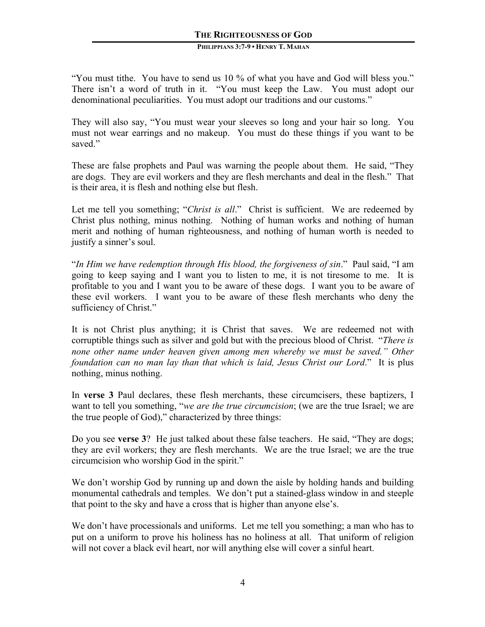"You must tithe. You have to send us 10 % of what you have and God will bless you." There isn't a word of truth in it. "You must keep the Law. You must adopt our denominational peculiarities. You must adopt our traditions and our customs."

They will also say, "You must wear your sleeves so long and your hair so long. You must not wear earrings and no makeup. You must do these things if you want to be saved."

These are false prophets and Paul was warning the people about them. He said, "They are dogs. They are evil workers and they are flesh merchants and deal in the flesh." That is their area, it is flesh and nothing else but flesh.

Let me tell you something; "*Christ is all*." Christ is sufficient. We are redeemed by Christ plus nothing, minus nothing. Nothing of human works and nothing of human merit and nothing of human righteousness, and nothing of human worth is needed to justify a sinner's soul.

"*In Him we have redemption through His blood, the forgiveness of sin*." Paul said, "I am going to keep saying and I want you to listen to me, it is not tiresome to me. It is profitable to you and I want you to be aware of these dogs. I want you to be aware of these evil workers. I want you to be aware of these flesh merchants who deny the sufficiency of Christ."

It is not Christ plus anything; it is Christ that saves. We are redeemed not with corruptible things such as silver and gold but with the precious blood of Christ. "*There is none other name under heaven given among men whereby we must be saved." Other foundation can no man lay than that which is laid, Jesus Christ our Lord*." It is plus nothing, minus nothing.

In **verse 3** Paul declares, these flesh merchants, these circumcisers, these baptizers, I want to tell you something, "*we are the true circumcision*; (we are the true Israel; we are the true people of God)," characterized by three things:

Do you see **verse 3**? He just talked about these false teachers. He said, "They are dogs; they are evil workers; they are flesh merchants. We are the true Israel; we are the true circumcision who worship God in the spirit."

We don't worship God by running up and down the aisle by holding hands and building monumental cathedrals and temples. We don't put a stained-glass window in and steeple that point to the sky and have a cross that is higher than anyone else's.

We don't have processionals and uniforms. Let me tell you something; a man who has to put on a uniform to prove his holiness has no holiness at all. That uniform of religion will not cover a black evil heart, nor will anything else will cover a sinful heart.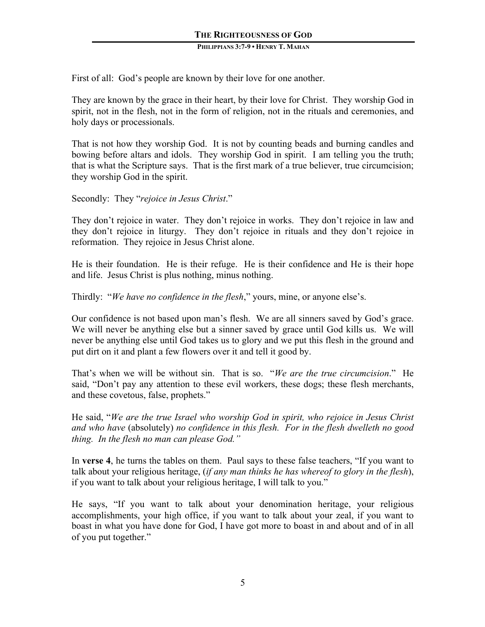First of all: God's people are known by their love for one another.

They are known by the grace in their heart, by their love for Christ. They worship God in spirit, not in the flesh, not in the form of religion, not in the rituals and ceremonies, and holy days or processionals.

That is not how they worship God. It is not by counting beads and burning candles and bowing before altars and idols. They worship God in spirit. I am telling you the truth; that is what the Scripture says. That is the first mark of a true believer, true circumcision; they worship God in the spirit.

Secondly: They "*rejoice in Jesus Christ*."

They don't rejoice in water. They don't rejoice in works. They don't rejoice in law and they don't rejoice in liturgy. They don't rejoice in rituals and they don't rejoice in reformation. They rejoice in Jesus Christ alone.

He is their foundation. He is their refuge. He is their confidence and He is their hope and life. Jesus Christ is plus nothing, minus nothing.

Thirdly: "*We have no confidence in the flesh*," yours, mine, or anyone else's.

Our confidence is not based upon man's flesh. We are all sinners saved by God's grace. We will never be anything else but a sinner saved by grace until God kills us. We will never be anything else until God takes us to glory and we put this flesh in the ground and put dirt on it and plant a few flowers over it and tell it good by.

That's when we will be without sin. That is so. "*We are the true circumcision*." He said, "Don't pay any attention to these evil workers, these dogs; these flesh merchants, and these covetous, false, prophets."

He said, "*We are the true Israel who worship God in spirit, who rejoice in Jesus Christ and who have* (absolutely) *no confidence in this flesh. For in the flesh dwelleth no good thing. In the flesh no man can please God."*

In **verse 4**, he turns the tables on them. Paul says to these false teachers, "If you want to talk about your religious heritage, (*if any man thinks he has whereof to glory in the flesh*), if you want to talk about your religious heritage, I will talk to you."

He says, "If you want to talk about your denomination heritage, your religious accomplishments, your high office, if you want to talk about your zeal, if you want to boast in what you have done for God, I have got more to boast in and about and of in all of you put together."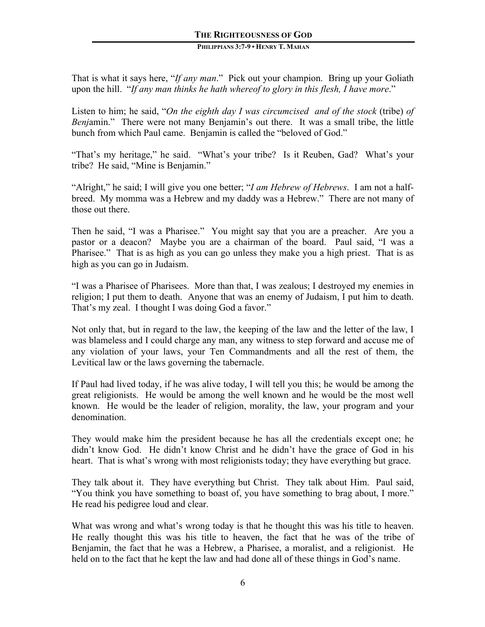# **THE RIGHTEOUSNESS OF GOD**

#### **PHILIPPIANS 3:7-9 • HENRY T. MAHAN**

That is what it says here, "*If any man*." Pick out your champion. Bring up your Goliath upon the hill. "*If any man thinks he hath whereof to glory in this flesh, I have more*."

Listen to him; he said, "*On the eighth day I was circumcised and of the stock* (tribe) *of Benj*amin." There were not many Benjamin's out there. It was a small tribe, the little bunch from which Paul came. Benjamin is called the "beloved of God."

"That's my heritage," he said. "What's your tribe? Is it Reuben, Gad? What's your tribe? He said, "Mine is Benjamin."

"Alright," he said; I will give you one better; "*I am Hebrew of Hebrews*. I am not a halfbreed. My momma was a Hebrew and my daddy was a Hebrew." There are not many of those out there.

Then he said, "I was a Pharisee." You might say that you are a preacher. Are you a pastor or a deacon? Maybe you are a chairman of the board. Paul said, "I was a Pharisee." That is as high as you can go unless they make you a high priest. That is as high as you can go in Judaism.

"I was a Pharisee of Pharisees. More than that, I was zealous; I destroyed my enemies in religion; I put them to death. Anyone that was an enemy of Judaism, I put him to death. That's my zeal. I thought I was doing God a favor."

Not only that, but in regard to the law, the keeping of the law and the letter of the law, I was blameless and I could charge any man, any witness to step forward and accuse me of any violation of your laws, your Ten Commandments and all the rest of them, the Levitical law or the laws governing the tabernacle.

If Paul had lived today, if he was alive today, I will tell you this; he would be among the great religionists. He would be among the well known and he would be the most well known. He would be the leader of religion, morality, the law, your program and your denomination.

They would make him the president because he has all the credentials except one; he didn't know God. He didn't know Christ and he didn't have the grace of God in his heart. That is what's wrong with most religionists today; they have everything but grace.

They talk about it. They have everything but Christ. They talk about Him. Paul said, "You think you have something to boast of, you have something to brag about, I more." He read his pedigree loud and clear.

What was wrong and what's wrong today is that he thought this was his title to heaven. He really thought this was his title to heaven, the fact that he was of the tribe of Benjamin, the fact that he was a Hebrew, a Pharisee, a moralist, and a religionist. He held on to the fact that he kept the law and had done all of these things in God's name.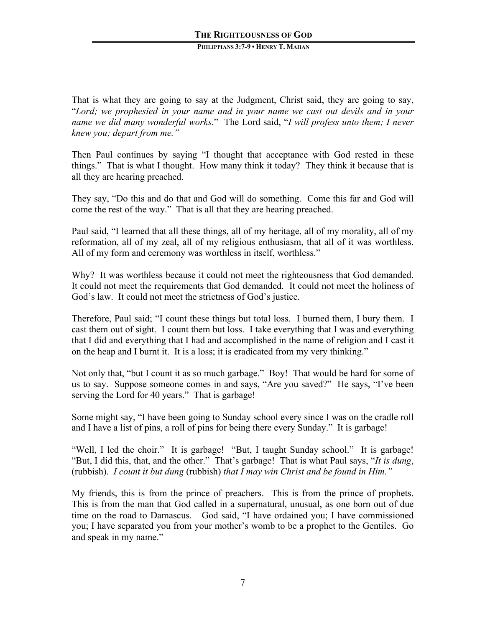That is what they are going to say at the Judgment, Christ said, they are going to say, "*Lord; we prophesied in your name and in your name we cast out devils and in your name we did many wonderful works.*" The Lord said, "*I will profess unto them; I never knew you; depart from me."*

Then Paul continues by saying "I thought that acceptance with God rested in these things." That is what I thought. How many think it today? They think it because that is all they are hearing preached.

They say, "Do this and do that and God will do something. Come this far and God will come the rest of the way." That is all that they are hearing preached.

Paul said, "I learned that all these things, all of my heritage, all of my morality, all of my reformation, all of my zeal, all of my religious enthusiasm, that all of it was worthless. All of my form and ceremony was worthless in itself, worthless."

Why? It was worthless because it could not meet the righteousness that God demanded. It could not meet the requirements that God demanded. It could not meet the holiness of God's law. It could not meet the strictness of God's justice.

Therefore, Paul said; "I count these things but total loss. I burned them, I bury them. I cast them out of sight. I count them but loss. I take everything that I was and everything that I did and everything that I had and accomplished in the name of religion and I cast it on the heap and I burnt it. It is a loss; it is eradicated from my very thinking."

Not only that, "but I count it as so much garbage." Boy! That would be hard for some of us to say. Suppose someone comes in and says, "Are you saved?" He says, "I've been serving the Lord for 40 years." That is garbage!

Some might say, "I have been going to Sunday school every since I was on the cradle roll and I have a list of pins, a roll of pins for being there every Sunday." It is garbage!

"Well, I led the choir." It is garbage! "But, I taught Sunday school." It is garbage! "But, I did this, that, and the other." That's garbage! That is what Paul says, "*It is dung*, (rubbish). *I count it but dung* (rubbish) *that I may win Christ and be found in Him."*

My friends, this is from the prince of preachers. This is from the prince of prophets. This is from the man that God called in a supernatural, unusual, as one born out of due time on the road to Damascus. God said, "I have ordained you; I have commissioned you; I have separated you from your mother's womb to be a prophet to the Gentiles. Go and speak in my name."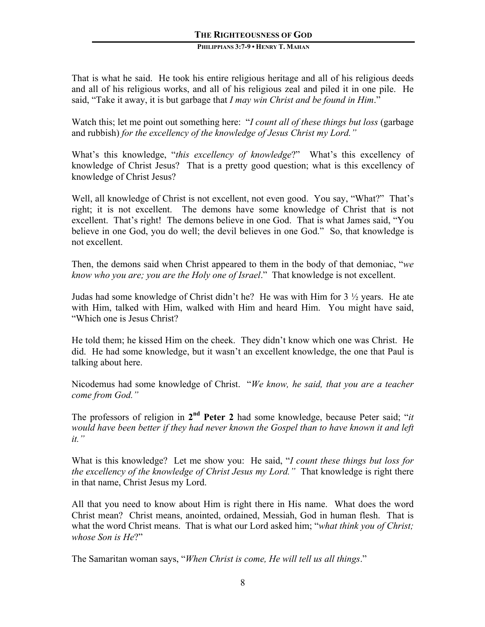That is what he said. He took his entire religious heritage and all of his religious deeds and all of his religious works, and all of his religious zeal and piled it in one pile. He said, "Take it away, it is but garbage that *I may win Christ and be found in Him*."

Watch this; let me point out something here: "*I count all of these things but loss* (garbage and rubbish) *for the excellency of the knowledge of Jesus Christ my Lord."*

What's this knowledge, "*this excellency of knowledge*?" What's this excellency of knowledge of Christ Jesus? That is a pretty good question; what is this excellency of knowledge of Christ Jesus?

Well, all knowledge of Christ is not excellent, not even good. You say, "What?" That's right; it is not excellent. The demons have some knowledge of Christ that is not excellent. That's right! The demons believe in one God. That is what James said, "You believe in one God, you do well; the devil believes in one God." So, that knowledge is not excellent.

Then, the demons said when Christ appeared to them in the body of that demoniac, "*we know who you are; you are the Holy one of Israel*." That knowledge is not excellent.

Judas had some knowledge of Christ didn't he? He was with Him for 3 ½ years. He ate with Him, talked with Him, walked with Him and heard Him. You might have said, "Which one is Jesus Christ?

He told them; he kissed Him on the cheek. They didn't know which one was Christ. He did. He had some knowledge, but it wasn't an excellent knowledge, the one that Paul is talking about here.

Nicodemus had some knowledge of Christ. "*We know, he said, that you are a teacher come from God."*

The professors of religion in **2nd Peter 2** had some knowledge, because Peter said; "*it would have been better if they had never known the Gospel than to have known it and left it."*

What is this knowledge? Let me show you: He said, "*I count these things but loss for the excellency of the knowledge of Christ Jesus my Lord."* That knowledge is right there in that name, Christ Jesus my Lord.

All that you need to know about Him is right there in His name. What does the word Christ mean? Christ means, anointed, ordained, Messiah, God in human flesh. That is what the word Christ means. That is what our Lord asked him; "*what think you of Christ; whose Son is He*?"

The Samaritan woman says, "*When Christ is come, He will tell us all things*."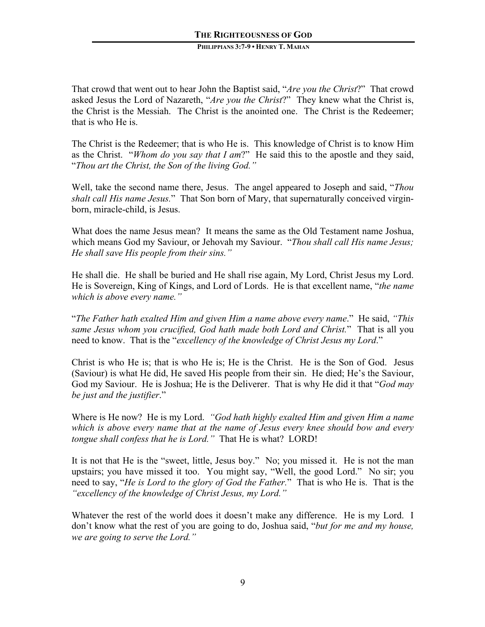That crowd that went out to hear John the Baptist said, "*Are you the Christ*?" That crowd asked Jesus the Lord of Nazareth, "*Are you the Christ*?" They knew what the Christ is, the Christ is the Messiah. The Christ is the anointed one. The Christ is the Redeemer; that is who He is.

The Christ is the Redeemer; that is who He is. This knowledge of Christ is to know Him as the Christ. "*Whom do you say that I am*?" He said this to the apostle and they said, "*Thou art the Christ, the Son of the living God."*

Well, take the second name there, Jesus. The angel appeared to Joseph and said, "*Thou shalt call His name Jesus.*" That Son born of Mary, that supernaturally conceived virginborn, miracle-child, is Jesus.

What does the name Jesus mean? It means the same as the Old Testament name Joshua, which means God my Saviour, or Jehovah my Saviour. "*Thou shall call His name Jesus; He shall save His people from their sins."*

He shall die. He shall be buried and He shall rise again, My Lord, Christ Jesus my Lord. He is Sovereign, King of Kings, and Lord of Lords. He is that excellent name, "*the name which is above every name."*

"*The Father hath exalted Him and given Him a name above every name*." He said, *"This same Jesus whom you crucified, God hath made both Lord and Christ.*" That is all you need to know. That is the "*excellency of the knowledge of Christ Jesus my Lord*."

Christ is who He is; that is who He is; He is the Christ. He is the Son of God. Jesus (Saviour) is what He did, He saved His people from their sin. He died; He's the Saviour, God my Saviour. He is Joshua; He is the Deliverer. That is why He did it that "*God may be just and the justifier*."

Where is He now? He is my Lord. *"God hath highly exalted Him and given Him a name which is above every name that at the name of Jesus every knee should bow and every tongue shall confess that he is Lord."* That He is what? LORD!

It is not that He is the "sweet, little, Jesus boy." No; you missed it. He is not the man upstairs; you have missed it too. You might say, "Well, the good Lord." No sir; you need to say, "*He is Lord to the glory of God the Father.*" That is who He is. That is the *"excellency of the knowledge of Christ Jesus, my Lord."*

Whatever the rest of the world does it doesn't make any difference. He is my Lord. I don't know what the rest of you are going to do, Joshua said, "*but for me and my house, we are going to serve the Lord."*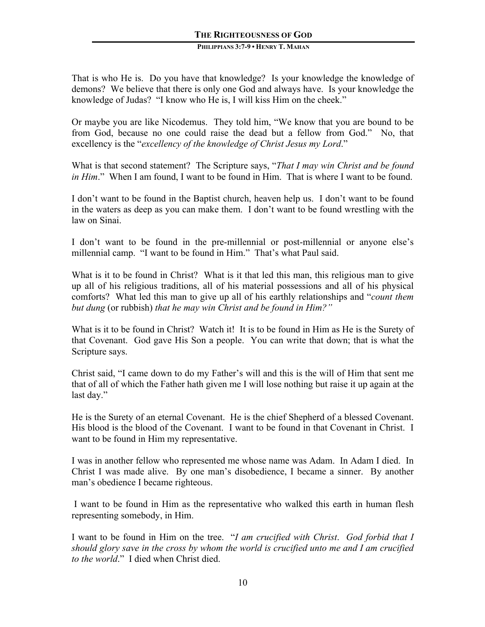That is who He is. Do you have that knowledge? Is your knowledge the knowledge of demons? We believe that there is only one God and always have. Is your knowledge the knowledge of Judas? "I know who He is, I will kiss Him on the cheek."

Or maybe you are like Nicodemus. They told him, "We know that you are bound to be from God, because no one could raise the dead but a fellow from God." No, that excellency is the "*excellency of the knowledge of Christ Jesus my Lord*."

What is that second statement? The Scripture says, "*That I may win Christ and be found in Him*." When I am found, I want to be found in Him. That is where I want to be found.

I don't want to be found in the Baptist church, heaven help us. I don't want to be found in the waters as deep as you can make them. I don't want to be found wrestling with the law on Sinai.

I don't want to be found in the pre-millennial or post-millennial or anyone else's millennial camp. "I want to be found in Him." That's what Paul said.

What is it to be found in Christ? What is it that led this man, this religious man to give up all of his religious traditions, all of his material possessions and all of his physical comforts? What led this man to give up all of his earthly relationships and "*count them but dung* (or rubbish) *that he may win Christ and be found in Him?"*

What is it to be found in Christ? Watch it! It is to be found in Him as He is the Surety of that Covenant. God gave His Son a people. You can write that down; that is what the Scripture says.

Christ said, "I came down to do my Father's will and this is the will of Him that sent me that of all of which the Father hath given me I will lose nothing but raise it up again at the last day."

He is the Surety of an eternal Covenant. He is the chief Shepherd of a blessed Covenant. His blood is the blood of the Covenant. I want to be found in that Covenant in Christ. I want to be found in Him my representative.

I was in another fellow who represented me whose name was Adam. In Adam I died. In Christ I was made alive. By one man's disobedience, I became a sinner. By another man's obedience I became righteous.

I want to be found in Him as the representative who walked this earth in human flesh representing somebody, in Him.

I want to be found in Him on the tree. "*I am crucified with Christ*. *God forbid that I should glory save in the cross by whom the world is crucified unto me and I am crucified to the world*." I died when Christ died.